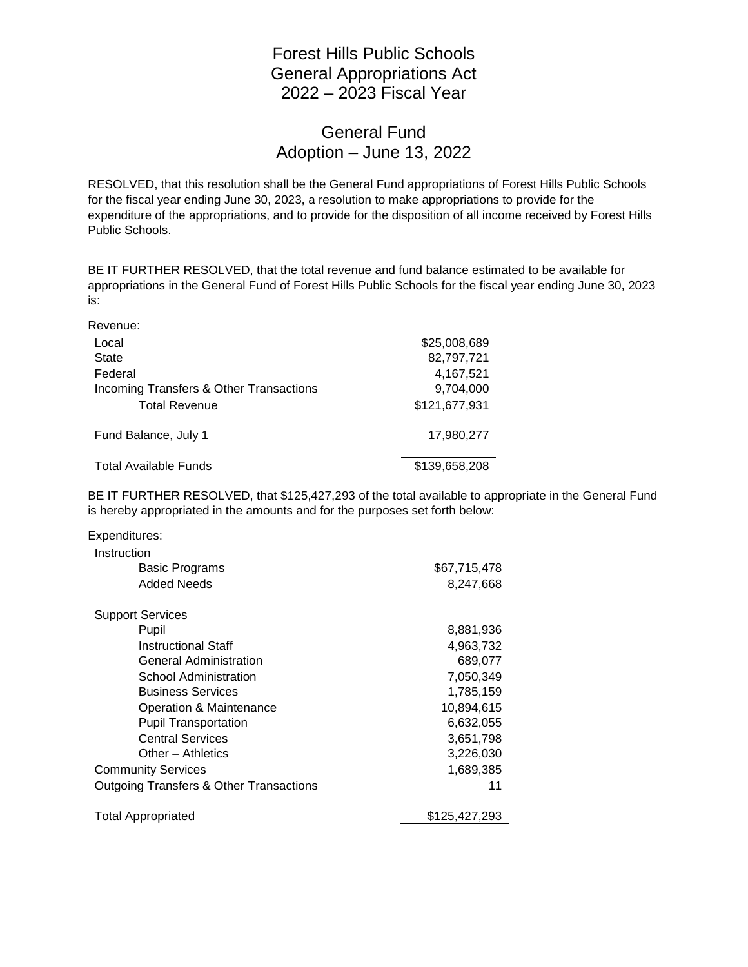## Forest Hills Public Schools General Appropriations Act 2022 – 2023 Fiscal Year

## General Fund Adoption – June 13, 2022

RESOLVED, that this resolution shall be the General Fund appropriations of Forest Hills Public Schools for the fiscal year ending June 30, 2023, a resolution to make appropriations to provide for the expenditure of the appropriations, and to provide for the disposition of all income received by Forest Hills Public Schools.

BE IT FURTHER RESOLVED, that the total revenue and fund balance estimated to be available for appropriations in the General Fund of Forest Hills Public Schools for the fiscal year ending June 30, 2023 is:

Revenue:

| Local                                   | \$25,008,689  |
|-----------------------------------------|---------------|
| <b>State</b>                            | 82,797,721    |
| Federal                                 | 4,167,521     |
| Incoming Transfers & Other Transactions | 9,704,000     |
| <b>Total Revenue</b>                    | \$121,677,931 |
| Fund Balance, July 1                    | 17.980.277    |
| <b>Total Available Funds</b>            | \$139,658,208 |

BE IT FURTHER RESOLVED, that \$125,427,293 of the total available to appropriate in the General Fund is hereby appropriated in the amounts and for the purposes set forth below:

| Instruction<br>Basic Programs<br>Added Needs       | \$67,715,478<br>8,247,668 |
|----------------------------------------------------|---------------------------|
|                                                    |                           |
|                                                    |                           |
|                                                    |                           |
| <b>Support Services</b>                            |                           |
| Pupil                                              | 8,881,936                 |
| <b>Instructional Staff</b>                         | 4,963,732                 |
| <b>General Administration</b>                      | 689,077                   |
| School Administration                              | 7,050,349                 |
| <b>Business Services</b>                           | 1,785,159                 |
| Operation & Maintenance                            | 10,894,615                |
| <b>Pupil Transportation</b>                        | 6,632,055                 |
| <b>Central Services</b>                            | 3,651,798                 |
| Other - Athletics                                  | 3,226,030                 |
| <b>Community Services</b>                          | 1,689,385                 |
| <b>Outgoing Transfers &amp; Other Transactions</b> | 11                        |
| <b>Total Appropriated</b>                          | \$125,427,293             |